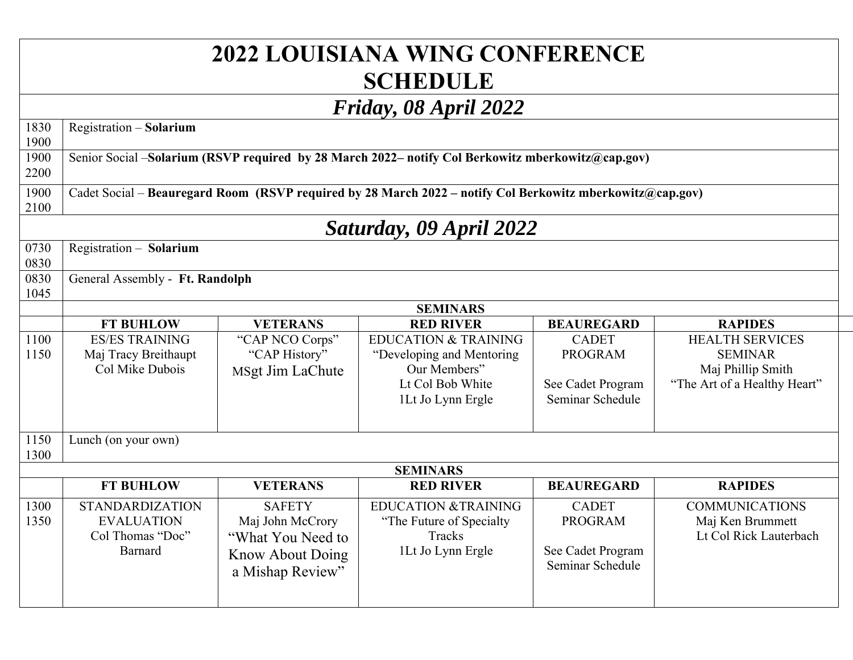## **2022 LOUISIANA WING CONFERENCE SCHEDULE**

## *Friday, 08 April 2022*

| Friday, 08 April 2022   |                                                                                                           |                         |                                 |                   |                              |  |  |  |
|-------------------------|-----------------------------------------------------------------------------------------------------------|-------------------------|---------------------------------|-------------------|------------------------------|--|--|--|
| 1830                    | Registration - Solarium                                                                                   |                         |                                 |                   |                              |  |  |  |
| 1900                    |                                                                                                           |                         |                                 |                   |                              |  |  |  |
| 1900                    | Senior Social -Solarium (RSVP required by 28 March 2022- notify Col Berkowitz mberkowitz@cap.gov)         |                         |                                 |                   |                              |  |  |  |
| 2200                    |                                                                                                           |                         |                                 |                   |                              |  |  |  |
| 1900                    | Cadet Social – Beauregard Room (RSVP required by 28 March 2022 – notify Col Berkowitz mberkowitz@cap.gov) |                         |                                 |                   |                              |  |  |  |
| 2100                    |                                                                                                           |                         |                                 |                   |                              |  |  |  |
| Saturday, 09 April 2022 |                                                                                                           |                         |                                 |                   |                              |  |  |  |
| 0730                    | Registration - Solarium                                                                                   |                         |                                 |                   |                              |  |  |  |
| 0830                    |                                                                                                           |                         |                                 |                   |                              |  |  |  |
| 0830                    | General Assembly - Ft. Randolph                                                                           |                         |                                 |                   |                              |  |  |  |
| 1045                    |                                                                                                           |                         |                                 |                   |                              |  |  |  |
|                         | <b>SEMINARS</b>                                                                                           |                         |                                 |                   |                              |  |  |  |
|                         | <b>FT BUHLOW</b>                                                                                          | <b>VETERANS</b>         | <b>RED RIVER</b>                | <b>BEAUREGARD</b> | <b>RAPIDES</b>               |  |  |  |
| 1100                    | <b>ES/ES TRAINING</b>                                                                                     | "CAP NCO Corps"         | <b>EDUCATION &amp; TRAINING</b> | <b>CADET</b>      | <b>HEALTH SERVICES</b>       |  |  |  |
| 1150                    | Maj Tracy Breithaupt                                                                                      | "CAP History"           | "Developing and Mentoring       | <b>PROGRAM</b>    | <b>SEMINAR</b>               |  |  |  |
|                         | Col Mike Dubois                                                                                           | MSgt Jim LaChute        | Our Members"                    |                   | Maj Phillip Smith            |  |  |  |
|                         |                                                                                                           |                         | Lt Col Bob White                | See Cadet Program | "The Art of a Healthy Heart" |  |  |  |
|                         |                                                                                                           |                         | 1Lt Jo Lynn Ergle               | Seminar Schedule  |                              |  |  |  |
|                         |                                                                                                           |                         |                                 |                   |                              |  |  |  |
| 1150                    | Lunch (on your own)                                                                                       |                         |                                 |                   |                              |  |  |  |
| 1300                    |                                                                                                           |                         |                                 |                   |                              |  |  |  |
|                         |                                                                                                           |                         | <b>SEMINARS</b>                 |                   |                              |  |  |  |
|                         | <b>FT BUHLOW</b>                                                                                          | <b>VETERANS</b>         | <b>RED RIVER</b>                | <b>BEAUREGARD</b> | <b>RAPIDES</b>               |  |  |  |
| 1300                    | <b>STANDARDIZATION</b>                                                                                    | <b>SAFETY</b>           | <b>EDUCATION &amp;TRAINING</b>  | <b>CADET</b>      | <b>COMMUNICATIONS</b>        |  |  |  |
| 1350                    | <b>EVALUATION</b>                                                                                         | Maj John McCrory        | "The Future of Specialty"       | <b>PROGRAM</b>    | Maj Ken Brummett             |  |  |  |
|                         | Col Thomas "Doc"                                                                                          | "What You Need to       | Tracks                          |                   | Lt Col Rick Lauterbach       |  |  |  |
|                         | Barnard                                                                                                   | <b>Know About Doing</b> | 1Lt Jo Lynn Ergle               | See Cadet Program |                              |  |  |  |
|                         |                                                                                                           | a Mishap Review"        |                                 | Seminar Schedule  |                              |  |  |  |
|                         |                                                                                                           |                         |                                 |                   |                              |  |  |  |
|                         |                                                                                                           |                         |                                 |                   |                              |  |  |  |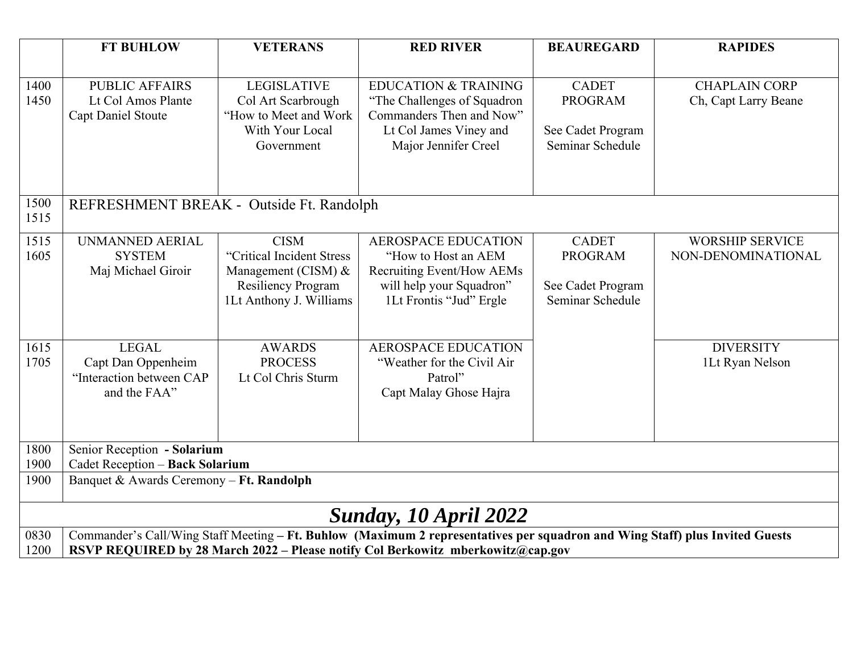|                              | <b>FT BUHLOW</b>                                                                                                                                                                                                | <b>VETERANS</b>                                                                                                           | <b>RED RIVER</b>                                                                                                                              | <b>BEAUREGARD</b>                                                       | <b>RAPIDES</b>                               |  |  |  |
|------------------------------|-----------------------------------------------------------------------------------------------------------------------------------------------------------------------------------------------------------------|---------------------------------------------------------------------------------------------------------------------------|-----------------------------------------------------------------------------------------------------------------------------------------------|-------------------------------------------------------------------------|----------------------------------------------|--|--|--|
| 1400<br>1450                 | <b>PUBLIC AFFAIRS</b><br>Lt Col Amos Plante<br><b>Capt Daniel Stoute</b>                                                                                                                                        | <b>LEGISLATIVE</b><br>Col Art Scarbrough<br>"How to Meet and Work"<br>With Your Local<br>Government                       | <b>EDUCATION &amp; TRAINING</b><br>"The Challenges of Squadron"<br>Commanders Then and Now"<br>Lt Col James Viney and<br>Major Jennifer Creel | <b>CADET</b><br><b>PROGRAM</b><br>See Cadet Program<br>Seminar Schedule | <b>CHAPLAIN CORP</b><br>Ch, Capt Larry Beane |  |  |  |
| 1500<br>1515                 | REFRESHMENT BREAK - Outside Ft. Randolph                                                                                                                                                                        |                                                                                                                           |                                                                                                                                               |                                                                         |                                              |  |  |  |
| 1515<br>1605                 | UNMANNED AERIAL<br><b>SYSTEM</b><br>Maj Michael Giroir                                                                                                                                                          | <b>CISM</b><br>"Critical Incident Stress<br>Management (CISM) $&$<br><b>Resiliency Program</b><br>1Lt Anthony J. Williams | <b>AEROSPACE EDUCATION</b><br>"How to Host an AEM<br>Recruiting Event/How AEMs<br>will help your Squadron"<br>1Lt Frontis "Jud" Ergle         | <b>CADET</b><br><b>PROGRAM</b><br>See Cadet Program<br>Seminar Schedule | <b>WORSHIP SERVICE</b><br>NON-DENOMINATIONAL |  |  |  |
| 1615<br>1705                 | <b>LEGAL</b><br>Capt Dan Oppenheim<br>"Interaction between CAP<br>and the FAA"                                                                                                                                  | <b>AWARDS</b><br><b>PROCESS</b><br>Lt Col Chris Sturm                                                                     | <b>AEROSPACE EDUCATION</b><br>"Weather for the Civil Air<br>Patrol"<br>Capt Malay Ghose Hajra                                                 |                                                                         | <b>DIVERSITY</b><br>1Lt Ryan Nelson          |  |  |  |
| 1800<br>1900                 | Senior Reception - Solarium<br>Cadet Reception - Back Solarium                                                                                                                                                  |                                                                                                                           |                                                                                                                                               |                                                                         |                                              |  |  |  |
| 1900                         | Banquet & Awards Ceremony - Ft. Randolph                                                                                                                                                                        |                                                                                                                           |                                                                                                                                               |                                                                         |                                              |  |  |  |
| <b>Sunday, 10 April 2022</b> |                                                                                                                                                                                                                 |                                                                                                                           |                                                                                                                                               |                                                                         |                                              |  |  |  |
| 0830<br>1200                 | Commander's Call/Wing Staff Meeting - Ft. Buhlow (Maximum 2 representatives per squadron and Wing Staff) plus Invited Guests<br>RSVP REQUIRED by 28 March 2022 - Please notify Col Berkowitz mberkowitz@cap.gov |                                                                                                                           |                                                                                                                                               |                                                                         |                                              |  |  |  |